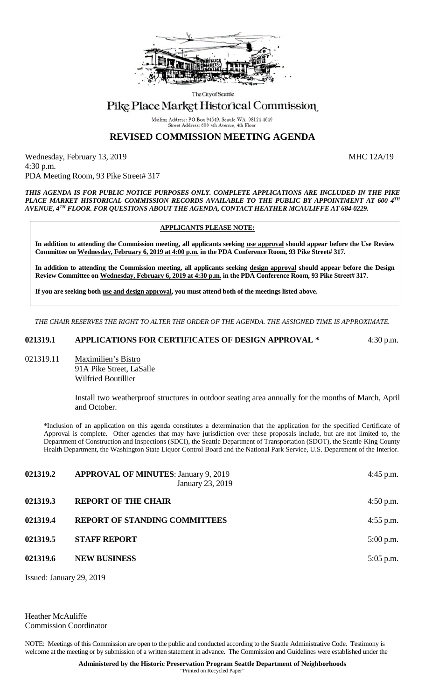

The City of Seattle

## Pike Place Market Historical Commission

Mailing Address: PO Box 94649, Seattle WA 98124-4649 Street Address: 600 4th Avenue, 4th Floo

## **REVISED COMMISSION MEETING AGENDA**

Wednesday, February 13, 2019 MHC 12A/19 4:30 p.m. PDA Meeting Room, 93 Pike Street# 317

*THIS AGENDA IS FOR PUBLIC NOTICE PURPOSES ONLY. COMPLETE APPLICATIONS ARE INCLUDED IN THE PIKE PLACE MARKET HISTORICAL COMMISSION RECORDS AVAILABLE TO THE PUBLIC BY APPOINTMENT AT 600 4TH AVENUE, 4TH FLOOR. FOR QUESTIONS ABOUT THE AGENDA, CONTACT HEATHER MCAULIFFE AT 684-0229.*

## **APPLICANTS PLEASE NOTE:**

**In addition to attending the Commission meeting, all applicants seeking use approval should appear before the Use Review Committee on Wednesday, February 6, 2019 at 4:00 p.m. in the PDA Conference Room, 93 Pike Street# 317.**

**In addition to attending the Commission meeting, all applicants seeking design approval should appear before the Design Review Committee on Wednesday, February 6, 2019 at 4:30 p.m. in the PDA Conference Room, 93 Pike Street# 317.** 

**If you are seeking both use and design approval, you must attend both of the meetings listed above.**

*THE CHAIR RESERVES THE RIGHT TO ALTER THE ORDER OF THE AGENDA. THE ASSIGNED TIME IS APPROXIMATE.*

**021319.1 APPLICATIONS FOR CERTIFICATES OF DESIGN APPROVAL \*** 4:30 p.m.

021319.11 Maximilien's Bistro 91A Pike Street, LaSalle Wilfried Boutillier

> Install two weatherproof structures in outdoor seating area annually for the months of March, April and October.

\*Inclusion of an application on this agenda constitutes a determination that the application for the specified Certificate of Approval is complete. Other agencies that may have jurisdiction over these proposals include, but are not limited to, the Department of Construction and Inspections (SDCI), the Seattle Department of Transportation (SDOT), the Seattle-King County Health Department, the Washington State Liquor Control Board and the National Park Service, U.S. Department of the Interior.

| 021319.2 | <b>APPROVAL OF MINUTES: January 9, 2019</b><br>January 23, 2019 | $4:45$ p.m. |
|----------|-----------------------------------------------------------------|-------------|
| 021319.3 | <b>REPORT OF THE CHAIR</b>                                      | $4:50$ p.m. |
| 021319.4 | <b>REPORT OF STANDING COMMITTEES</b>                            | $4:55$ p.m. |
| 021319.5 | <b>STAFF REPORT</b>                                             | $5:00$ p.m. |
| 021319.6 | <b>NEW BUSINESS</b>                                             | $5:05$ p.m. |
|          |                                                                 |             |

Issued: January 29, 2019

Heather McAuliffe Commission Coordinator

NOTE: Meetings of this Commission are open to the public and conducted according to the Seattle Administrative Code. Testimony is welcome at the meeting or by submission of a written statement in advance. The Commission and Guidelines were established under the